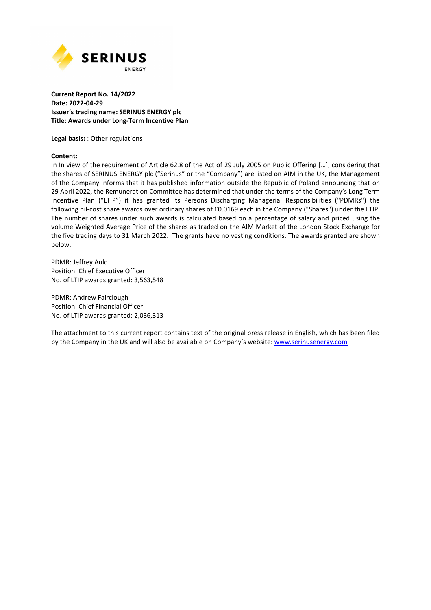

## **Current Report No. 14/2022 Date: 2022-04-29 Issuer's trading name: SERINUS ENERGY plc Title: Awards under Long-Term Incentive Plan**

**Legal basis:** : Other regulations

### **Content:**

In In view of the requirement of Article 62.8 of the Act of 29 July 2005 on Public Offering […], considering that the shares of SERINUS ENERGY plc ("Serinus" or the "Company") are listed on AIM in the UK, the Management of the Company informs that it has published information outside the Republic of Poland announcing that on 29 April 2022, the Remuneration Committee has determined that under the terms of the Company's Long Term Incentive Plan ("LTIP") it has granted its Persons Discharging Managerial Responsibilities ("PDMRs") the following nil-cost share awards over ordinary shares of £0.0169 each in the Company ("Shares") under the LTIP. The number of shares under such awards is calculated based on a percentage of salary and priced using the volume Weighted Average Price of the shares as traded on the AIM Market of the London Stock Exchange for the five trading days to 31 March 2022. The grants have no vesting conditions. The awards granted are shown below:

PDMR: Jeffrey Auld Position: Chief Executive Officer No. of LTIP awards granted: 3,563,548

PDMR: Andrew Fairclough Position: Chief Financial Officer No. of LTIP awards granted: 2,036,313

The attachment to this current report contains text of the original press release in English, which has been filed by the Company in the UK and will also be available on Company's website: www.serinusenergy.com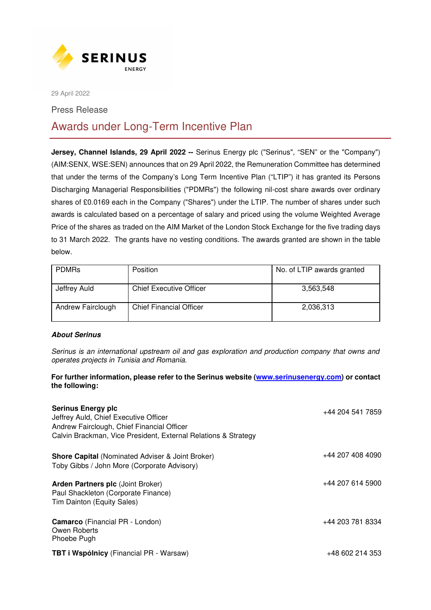

29 April 2022

Press Release

# Awards under Long-Term Incentive Plan

**Jersey, Channel Islands, 29 April 2022 --** Serinus Energy plc ("Serinus", "SEN" or the "Company") (AIM:SENX, WSE:SEN) announces that on 29 April 2022, the Remuneration Committee has determined that under the terms of the Company's Long Term Incentive Plan ("LTIP") it has granted its Persons Discharging Managerial Responsibilities ("PDMRs") the following nil-cost share awards over ordinary shares of £0.0169 each in the Company ("Shares") under the LTIP. The number of shares under such awards is calculated based on a percentage of salary and priced using the volume Weighted Average Price of the shares as traded on the AIM Market of the London Stock Exchange for the five trading days to 31 March 2022. The grants have no vesting conditions. The awards granted are shown in the table below.

| <b>PDMRs</b>      | <b>Position</b>                | No. of LTIP awards granted |
|-------------------|--------------------------------|----------------------------|
| Jeffrey Auld      | <b>Chief Executive Officer</b> | 3,563,548                  |
| Andrew Fairclough | <b>Chief Financial Officer</b> | 2,036,313                  |

# **About Serinus**

*Serinus is an international upstream oil and gas exploration and production company that owns and operates projects in Tunisia and Romania.*

# **For further information, please refer to the Serinus website (www.serinusenergy.com) or contact the following:**

| <b>Serinus Energy plc</b><br>Jeffrey Auld, Chief Executive Officer<br>Andrew Fairclough, Chief Financial Officer | +44 204 541 7859 |
|------------------------------------------------------------------------------------------------------------------|------------------|
| Calvin Brackman, Vice President, External Relations & Strategy                                                   |                  |
| <b>Shore Capital (Nominated Adviser &amp; Joint Broker)</b><br>Toby Gibbs / John More (Corporate Advisory)       | +44 207 408 4090 |
| <b>Arden Partners plc (Joint Broker)</b><br>Paul Shackleton (Corporate Finance)<br>Tim Dainton (Equity Sales)    | +44 207 614 5900 |
| <b>Camarco</b> (Financial PR - London)<br>Owen Roberts<br>Phoebe Pugh                                            | +44 203 781 8334 |
| <b>TBT i Wspólnicy</b> (Financial PR - Warsaw)                                                                   | +48 602 214 353  |